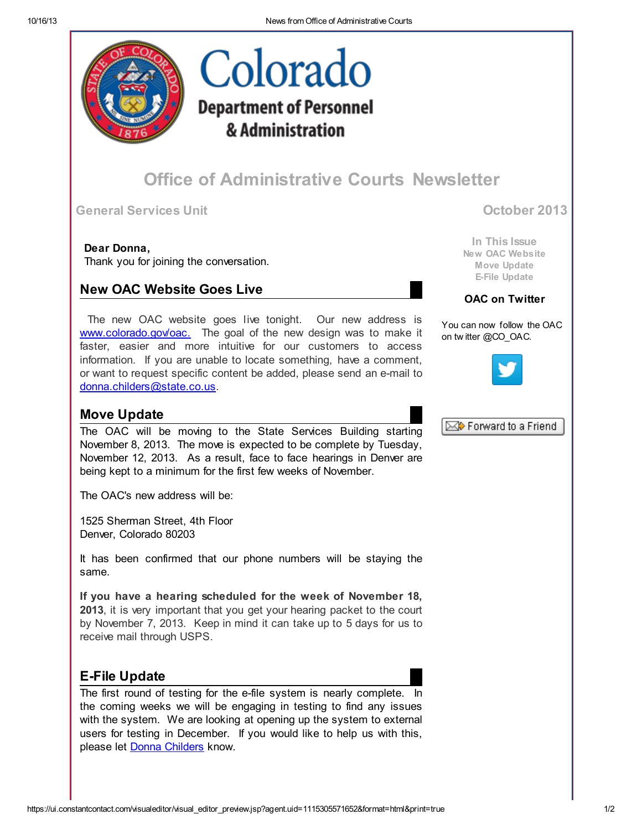

# Colorado **Department of Personnel** & Administration

## Office of Administrative Courts Newsletter

General Services Unit October 2013

Dear Donna,

Thank you for joining the conversation.

## New OAC Website Goes Live

The new OAC website goes live tonight. Our new address is [www.colorado.gov/oac.](http://r20.rs6.net/tn.jsp?e=001yXT_quF0pQLvFBcNoi6-Fi8hP7bqk1WfL8iYuOxWV0Uj5_e7N1v0RRr4-h3NMjnOVaPcDfHn8VBw9314H2KKv9b-oxfoBYRmqU_ahbOb-5ZTW-tGz1MkxA==) The goal of the new design was to make it faster, easier and more intuitive for our customers to access information. If you are unable to locate something, have a comment, or want to request specific content be added, please send an e-mail to [donna.childers@state.co.us](mailto:donna.childers@state.co.us).

### Move Update

The OAC will be moving to the State Services Building starting November 8, 2013. The move is expected to be complete by Tuesday, November 12, 2013. As a result, face to face hearings in Denver are being kept to a minimum for the first few weeks of November.

The OAC's new address will be:

1525 Sherman Street, 4th Floor Denver, Colorado 80203

It has been confirmed that our phone numbers will be staying the same.

If you have a hearing scheduled for the week of November 18, 2013, it is very important that you get your hearing packet to the court by November 7, 2013. Keep in mind it can take up to 5 days for us to receive mail through USPS.

## E-File Update

The first round of testing for the e-file system is nearly complete. In the coming weeks we will be engaging in testing to find any issues with the system. We are looking at opening up the system to external users for testing in December. If you would like to help us with this, please let **Donna [Childers](mailto:donna.childers@state.co.us)** know.

In This Issue New OAC Website Move Update E-File Update

### OAC on Twitter

You can now follow the OAC on tw itter @CO\_OAC.





https://ui.constantcontact.com/visualeditor/visual\_editor\_preview.jsp?agent.uid=1115305571652&format=html&print=true 1/2